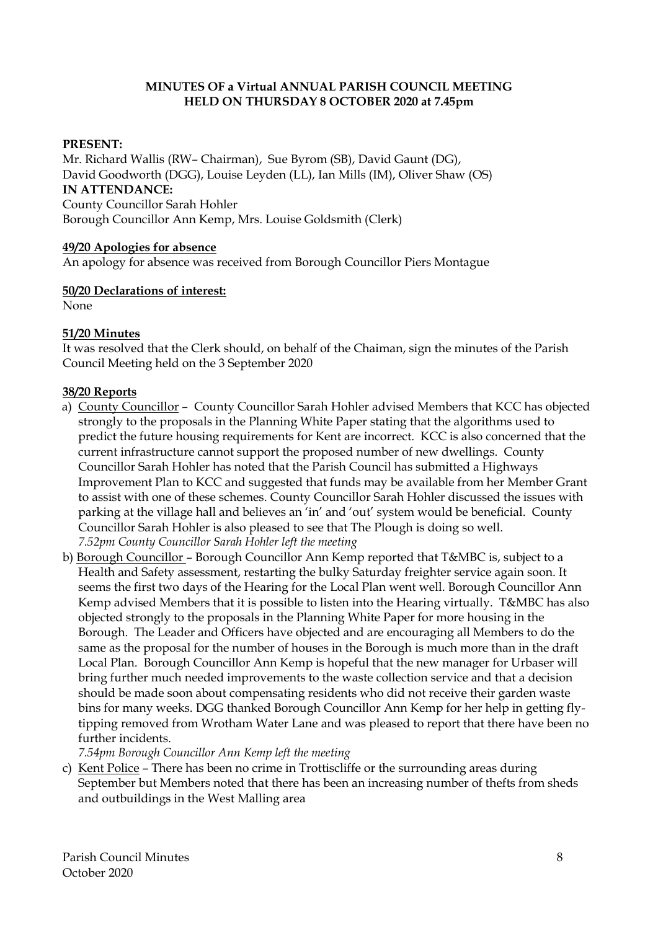### **MINUTES OF a Virtual ANNUAL PARISH COUNCIL MEETING HELD ON THURSDAY 8 OCTOBER 2020 at 7.45pm**

## **PRESENT:**

Mr. Richard Wallis (RW– Chairman), Sue Byrom (SB), David Gaunt (DG), David Goodworth (DGG), Louise Leyden (LL), Ian Mills (IM), Oliver Shaw (OS) **IN ATTENDANCE:** County Councillor Sarah Hohler Borough Councillor Ann Kemp, Mrs. Louise Goldsmith (Clerk)

#### **49/20 Apologies for absence**

An apology for absence was received from Borough Councillor Piers Montague

#### **50/20 Declarations of interest:**

None

#### **51/20 Minutes**

It was resolved that the Clerk should, on behalf of the Chaiman, sign the minutes of the Parish Council Meeting held on the 3 September 2020

#### **38/20 Reports**

- a) County Councillor County Councillor Sarah Hohler advised Members that KCC has objected strongly to the proposals in the Planning White Paper stating that the algorithms used to predict the future housing requirements for Kent are incorrect. KCC is also concerned that the current infrastructure cannot support the proposed number of new dwellings. County Councillor Sarah Hohler has noted that the Parish Council has submitted a Highways Improvement Plan to KCC and suggested that funds may be available from her Member Grant to assist with one of these schemes. County Councillor Sarah Hohler discussed the issues with parking at the village hall and believes an 'in' and 'out' system would be beneficial. County Councillor Sarah Hohler is also pleased to see that The Plough is doing so well. *7.52pm County Councillor Sarah Hohler left the meeting*
- b) Borough Councillor Borough Councillor Ann Kemp reported that T&MBC is, subject to a Health and Safety assessment, restarting the bulky Saturday freighter service again soon. It seems the first two days of the Hearing for the Local Plan went well. Borough Councillor Ann Kemp advised Members that it is possible to listen into the Hearing virtually. T&MBC has also objected strongly to the proposals in the Planning White Paper for more housing in the Borough. The Leader and Officers have objected and are encouraging all Members to do the same as the proposal for the number of houses in the Borough is much more than in the draft Local Plan. Borough Councillor Ann Kemp is hopeful that the new manager for Urbaser will bring further much needed improvements to the waste collection service and that a decision should be made soon about compensating residents who did not receive their garden waste bins for many weeks. DGG thanked Borough Councillor Ann Kemp for her help in getting flytipping removed from Wrotham Water Lane and was pleased to report that there have been no further incidents.

*7.54pm Borough Councillor Ann Kemp left the meeting* 

c) Kent Police – There has been no crime in Trottiscliffe or the surrounding areas during September but Members noted that there has been an increasing number of thefts from sheds and outbuildings in the West Malling area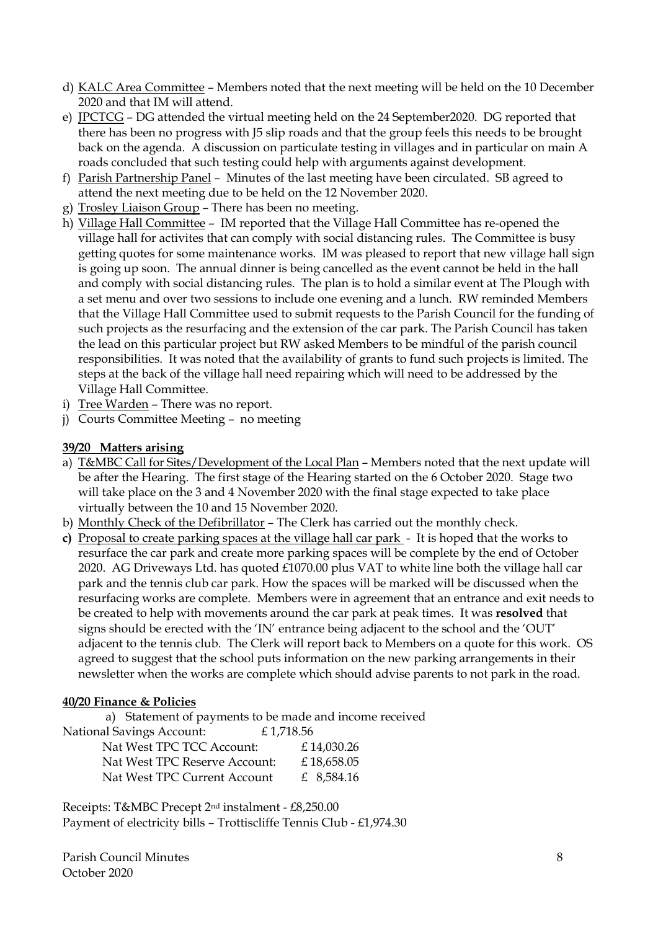- d) KALC Area Committee Members noted that the next meeting will be held on the 10 December 2020 and that IM will attend.
- e) JPCTCG DG attended the virtual meeting held on the 24 September2020. DG reported that there has been no progress with J5 slip roads and that the group feels this needs to be brought back on the agenda. A discussion on particulate testing in villages and in particular on main A roads concluded that such testing could help with arguments against development.
- f) Parish Partnership Panel Minutes of the last meeting have been circulated. SB agreed to attend the next meeting due to be held on the 12 November 2020.
- g) Trosley Liaison Group There has been no meeting.
- h) Village Hall Committee IM reported that the Village Hall Committee has re-opened the village hall for activites that can comply with social distancing rules. The Committee is busy getting quotes for some maintenance works. IM was pleased to report that new village hall sign is going up soon. The annual dinner is being cancelled as the event cannot be held in the hall and comply with social distancing rules. The plan is to hold a similar event at The Plough with a set menu and over two sessions to include one evening and a lunch. RW reminded Members that the Village Hall Committee used to submit requests to the Parish Council for the funding of such projects as the resurfacing and the extension of the car park. The Parish Council has taken the lead on this particular project but RW asked Members to be mindful of the parish council responsibilities. It was noted that the availability of grants to fund such projects is limited. The steps at the back of the village hall need repairing which will need to be addressed by the Village Hall Committee.
- i) Tree Warden There was no report.
- j) Courts Committee Meeting no meeting

#### **39/20 Matters arising**

- a) T&MBC Call for Sites/Development of the Local Plan Members noted that the next update will be after the Hearing. The first stage of the Hearing started on the 6 October 2020. Stage two will take place on the 3 and 4 November 2020 with the final stage expected to take place virtually between the 10 and 15 November 2020.
- b) Monthly Check of the Defibrillator The Clerk has carried out the monthly check.
- **c)** Proposal to create parking spaces at the village hall car park It is hoped that the works to resurface the car park and create more parking spaces will be complete by the end of October 2020. AG Driveways Ltd. has quoted £1070.00 plus VAT to white line both the village hall car park and the tennis club car park. How the spaces will be marked will be discussed when the resurfacing works are complete. Members were in agreement that an entrance and exit needs to be created to help with movements around the car park at peak times. It was **resolved** that signs should be erected with the 'IN' entrance being adjacent to the school and the 'OUT' adjacent to the tennis club. The Clerk will report back to Members on a quote for this work. OS agreed to suggest that the school puts information on the new parking arrangements in their newsletter when the works are complete which should advise parents to not park in the road.

#### **40/20 Finance & Policies**

a) Statement of payments to be made and income received

| National Savings Account:     | £1,718.56 |            |
|-------------------------------|-----------|------------|
| Nat West TPC TCC Account:     |           | £14,030.26 |
| Nat West TPC Reserve Account: |           | £18,658.05 |
| Nat West TPC Current Account  |           | £ 8,584.16 |

Receipts: T&MBC Precept 2nd instalment - £8,250.00 Payment of electricity bills – Trottiscliffe Tennis Club - £1,974.30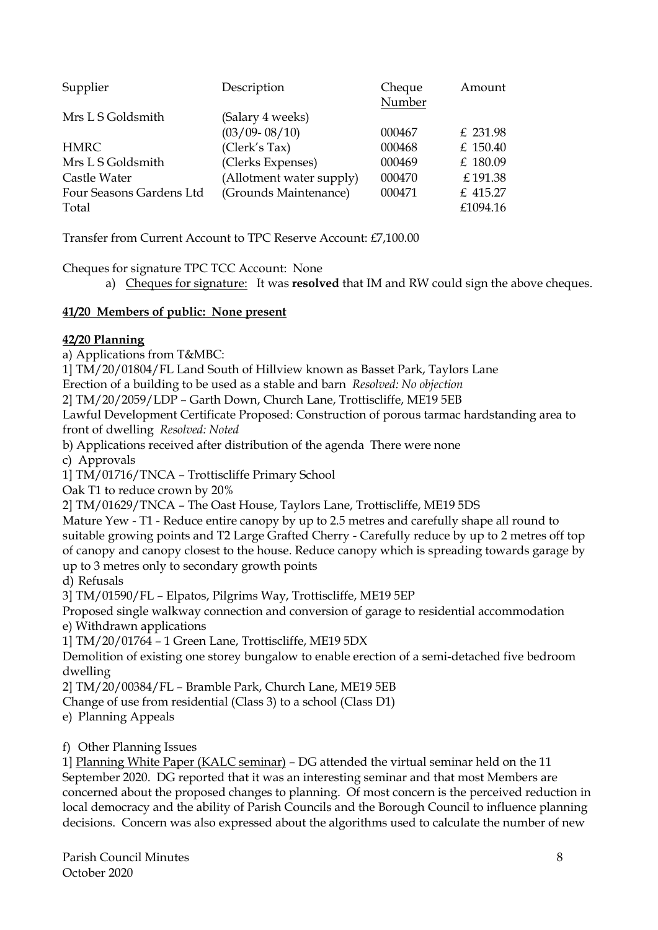| Supplier                 | Description              | Cheque<br>Number | Amount   |
|--------------------------|--------------------------|------------------|----------|
| Mrs L S Goldsmith        | (Salary 4 weeks)         |                  |          |
|                          | $(03/09 - 08/10)$        | 000467           | £ 231.98 |
| <b>HMRC</b>              | (Clerk's Tax)            | 000468           | £ 150.40 |
| Mrs L S Goldsmith        | (Clerks Expenses)        | 000469           | £ 180.09 |
| Castle Water             | (Allotment water supply) | 000470           | £191.38  |
| Four Seasons Gardens Ltd | (Grounds Maintenance)    | 000471           | £ 415.27 |
| Total                    |                          |                  | £1094.16 |

Transfer from Current Account to TPC Reserve Account: £7,100.00

Cheques for signature TPC TCC Account: None

a) Cheques for signature: It was **resolved** that IM and RW could sign the above cheques.

## **41/20 Members of public: None present**

## **42/20 Planning**

a) Applications from T&MBC:

1] TM/20/01804/FL Land South of Hillview known as Basset Park, Taylors Lane

Erection of a building to be used as a stable and barn *Resolved: No objection*

2] TM/20/2059/LDP – Garth Down, Church Lane, Trottiscliffe, ME19 5EB

Lawful Development Certificate Proposed: Construction of porous tarmac hardstanding area to front of dwelling *Resolved: Noted*

b) Applications received after distribution of the agenda There were none

c) Approvals

1] TM/01716/TNCA – Trottiscliffe Primary School

Oak T1 to reduce crown by 20%

2] TM/01629/TNCA – The Oast House, Taylors Lane, Trottiscliffe, ME19 5DS

Mature Yew - T1 - Reduce entire canopy by up to 2.5 metres and carefully shape all round to suitable growing points and T2 Large Grafted Cherry - Carefully reduce by up to 2 metres off top of canopy and canopy closest to the house. Reduce canopy which is spreading towards garage by up to 3 metres only to secondary growth points

d) Refusals

3] TM/01590/FL – Elpatos, Pilgrims Way, Trottiscliffe, ME19 5EP

Proposed single walkway connection and conversion of garage to residential accommodation e) Withdrawn applications

1] TM/20/01764 – 1 Green Lane, Trottiscliffe, ME19 5DX

Demolition of existing one storey bungalow to enable erection of a semi-detached five bedroom dwelling

2] TM/20/00384/FL – Bramble Park, Church Lane, ME19 5EB

Change of use from residential (Class 3) to a school (Class D1)

e) Planning Appeals

f) Other Planning Issues

1] Planning White Paper (KALC seminar) – DG attended the virtual seminar held on the 11 September 2020. DG reported that it was an interesting seminar and that most Members are concerned about the proposed changes to planning. Of most concern is the perceived reduction in local democracy and the ability of Parish Councils and the Borough Council to influence planning decisions. Concern was also expressed about the algorithms used to calculate the number of new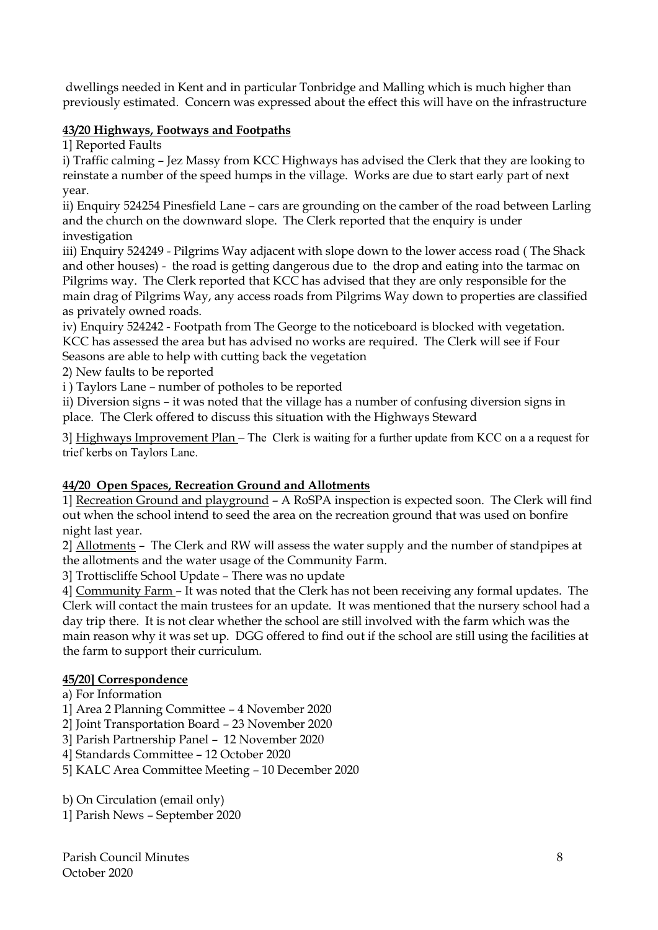dwellings needed in Kent and in particular Tonbridge and Malling which is much higher than previously estimated. Concern was expressed about the effect this will have on the infrastructure

# **43/20 Highways, Footways and Footpaths**

1] Reported Faults

i) Traffic calming – Jez Massy from KCC Highways has advised the Clerk that they are looking to reinstate a number of the speed humps in the village. Works are due to start early part of next year.

ii) Enquiry 524254 Pinesfield Lane – cars are grounding on the camber of the road between Larling and the church on the downward slope. The Clerk reported that the enquiry is under investigation

iii) Enquiry 524249 - Pilgrims Way adjacent with slope down to the lower access road ( The Shack and other houses) - the road is getting dangerous due to the drop and eating into the tarmac on Pilgrims way. The Clerk reported that KCC has advised that they are only responsible for the main drag of Pilgrims Way, any access roads from Pilgrims Way down to properties are classified as privately owned roads.

iv) Enquiry 524242 - Footpath from The George to the noticeboard is blocked with vegetation. KCC has assessed the area but has advised no works are required. The Clerk will see if Four Seasons are able to help with cutting back the vegetation

2) New faults to be reported

i ) Taylors Lane – number of potholes to be reported

ii) Diversion signs – it was noted that the village has a number of confusing diversion signs in place. The Clerk offered to discuss this situation with the Highways Steward

3] Highways Improvement Plan – The Clerk is waiting for a further update from KCC on a a request for trief kerbs on Taylors Lane.

## **44/20 Open Spaces, Recreation Ground and Allotments**

1] Recreation Ground and playground – A RoSPA inspection is expected soon. The Clerk will find out when the school intend to seed the area on the recreation ground that was used on bonfire night last year.

2] Allotments – The Clerk and RW will assess the water supply and the number of standpipes at the allotments and the water usage of the Community Farm.

3] Trottiscliffe School Update – There was no update

4] Community Farm – It was noted that the Clerk has not been receiving any formal updates. The Clerk will contact the main trustees for an update. It was mentioned that the nursery school had a day trip there. It is not clear whether the school are still involved with the farm which was the main reason why it was set up. DGG offered to find out if the school are still using the facilities at the farm to support their curriculum.

## **45/20] Correspondence**

a) For Information

1] Area 2 Planning Committee – 4 November 2020

2] Joint Transportation Board – 23 November 2020

3] Parish Partnership Panel – 12 November 2020

4] Standards Committee – 12 October 2020

5] KALC Area Committee Meeting – 10 December 2020

b) On Circulation (email only) 1] Parish News – September 2020

Parish Council Minutes 8 October 2020